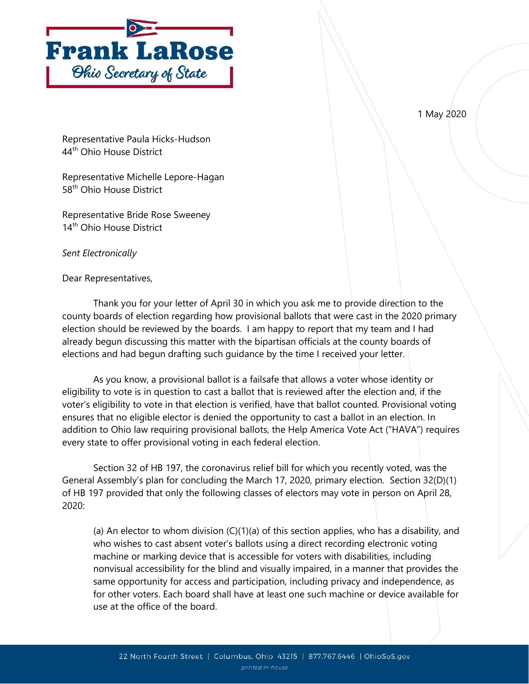

1 May 2020

Representative Paula Hicks-Hudson 44<sup>th</sup> Ohio House District

Representative Michelle Lepore-Hagan 58<sup>th</sup> Ohio House District

Representative Bride Rose Sweeney 14<sup>th</sup> Ohio House District

Sent Electronically

Dear Representatives,

 Thank you for your letter of April 30 in which you ask me to provide direction to the county boards of election regarding how provisional ballots that were cast in the 2020 primary election should be reviewed by the boards. I am happy to report that my team and I had already begun discussing this matter with the bipartisan officials at the county boards of elections and had begun drafting such guidance by the time I received your letter.

As you know, a provisional ballot is a failsafe that allows a voter whose identity or eligibility to vote is in question to cast a ballot that is reviewed after the election and, if the voter's eligibility to vote in that election is verified, have that ballot counted. Provisional voting ensures that no eligible elector is denied the opportunity to cast a ballot in an election. In addition to Ohio law requiring provisional ballots, the Help America Vote Act ("HAVA") requires every state to offer provisional voting in each federal election.

 Section 32 of HB 197, the coronavirus relief bill for which you recently voted, was the General Assembly's plan for concluding the March 17, 2020, primary election. Section 32(D)(1) of HB 197 provided that only the following classes of electors may vote in person on April 28, 2020:

(a) An elector to whom division (C)(1)(a) of this section applies, who has a disability, and who wishes to cast absent voter's ballots using a direct recording electronic voting machine or marking device that is accessible for voters with disabilities, including nonvisual accessibility for the blind and visually impaired, in a manner that provides the same opportunity for access and participation, including privacy and independence, as for other voters. Each board shall have at least one such machine or device available for use at the office of the board.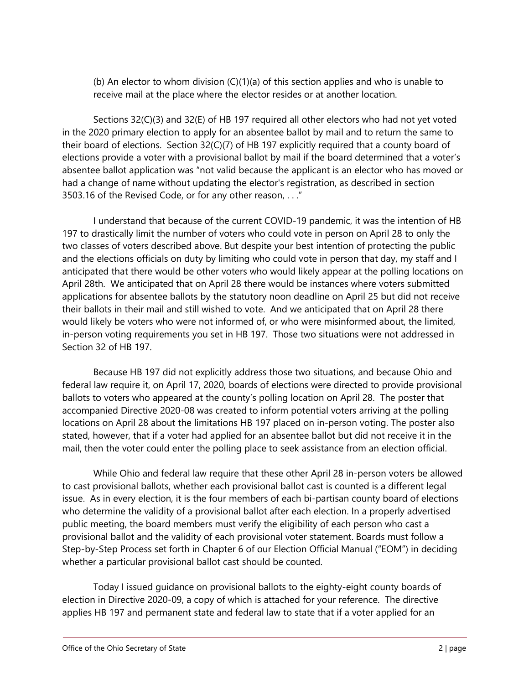(b) An elector to whom division  $(C)(1)(a)$  of this section applies and who is unable to receive mail at the place where the elector resides or at another location.

Sections 32(C)(3) and 32(E) of HB 197 required all other electors who had not yet voted in the 2020 primary election to apply for an absentee ballot by mail and to return the same to their board of elections. Section 32(C)(7) of HB 197 explicitly required that a county board of elections provide a voter with a provisional ballot by mail if the board determined that a voter's absentee ballot application was "not valid because the applicant is an elector who has moved or had a change of name without updating the elector's registration, as described in section 3503.16 of the Revised Code, or for any other reason, . . ."

I understand that because of the current COVID-19 pandemic, it was the intention of HB 197 to drastically limit the number of voters who could vote in person on April 28 to only the two classes of voters described above. But despite your best intention of protecting the public and the elections officials on duty by limiting who could vote in person that day, my staff and I anticipated that there would be other voters who would likely appear at the polling locations on April 28th. We anticipated that on April 28 there would be instances where voters submitted applications for absentee ballots by the statutory noon deadline on April 25 but did not receive their ballots in their mail and still wished to vote. And we anticipated that on April 28 there would likely be voters who were not informed of, or who were misinformed about, the limited, in-person voting requirements you set in HB 197. Those two situations were not addressed in Section 32 of HB 197.

Because HB 197 did not explicitly address those two situations, and because Ohio and federal law require it, on April 17, 2020, boards of elections were directed to provide provisional ballots to voters who appeared at the county's polling location on April 28. The poster that accompanied Directive 2020-08 was created to inform potential voters arriving at the polling locations on April 28 about the limitations HB 197 placed on in-person voting. The poster also stated, however, that if a voter had applied for an absentee ballot but did not receive it in the mail, then the voter could enter the polling place to seek assistance from an election official.

While Ohio and federal law require that these other April 28 in-person voters be allowed to cast provisional ballots, whether each provisional ballot cast is counted is a different legal issue. As in every election, it is the four members of each bi-partisan county board of elections who determine the validity of a provisional ballot after each election. In a properly advertised public meeting, the board members must verify the eligibility of each person who cast a provisional ballot and the validity of each provisional voter statement. Boards must follow a Step-by-Step Process set forth in Chapter 6 of our Election Official Manual ("EOM") in deciding whether a particular provisional ballot cast should be counted.

Today I issued guidance on provisional ballots to the eighty-eight county boards of election in Directive 2020-09, a copy of which is attached for your reference. The directive applies HB 197 and permanent state and federal law to state that if a voter applied for an